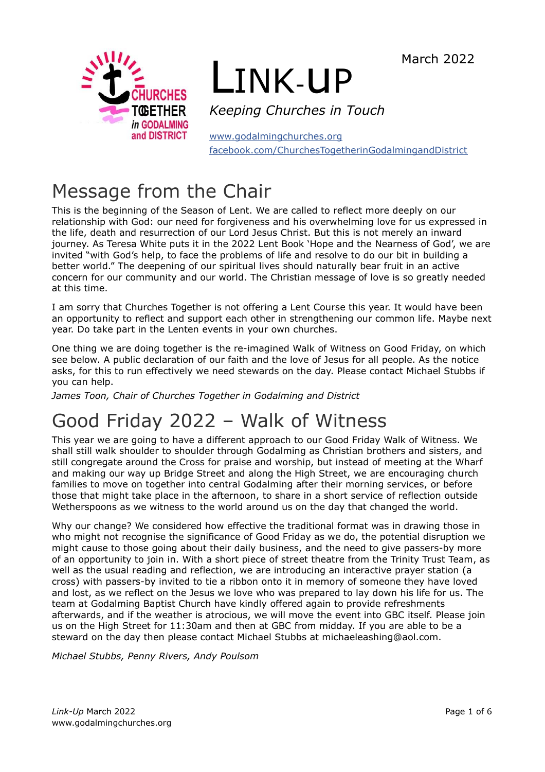March 2022



# LINK-uP

*Keeping Churches in Touch*

[www.godalmingchurches.org](http://www.godalmingchurches.org/) [facebook.com/ChurchesTogetherinGodalmingandDistrict](http://facebook.com/ChurchesTogetherinGodalmingandDistrict)

# Message from the Chair

This is the beginning of the Season of Lent. We are called to reflect more deeply on our relationship with God: our need for forgiveness and his overwhelming love for us expressed in the life, death and resurrection of our Lord Jesus Christ. But this is not merely an inward journey. As Teresa White puts it in the 2022 Lent Book 'Hope and the Nearness of God', we are invited "with God's help, to face the problems of life and resolve to do our bit in building a better world." The deepening of our spiritual lives should naturally bear fruit in an active concern for our community and our world. The Christian message of love is so greatly needed at this time.

I am sorry that Churches Together is not offering a Lent Course this year. It would have been an opportunity to reflect and support each other in strengthening our common life. Maybe next year. Do take part in the Lenten events in your own churches.

One thing we are doing together is the re-imagined Walk of Witness on Good Friday, on which see below. A public declaration of our faith and the love of Jesus for all people. As the notice asks, for this to run effectively we need stewards on the day. Please contact Michael Stubbs if you can help.

*James Toon, Chair of Churches Together in Godalming and District*

# Good Friday 2022 – Walk of Witness

This year we are going to have a different approach to our Good Friday Walk of Witness. We shall still walk shoulder to shoulder through Godalming as Christian brothers and sisters, and still congregate around the Cross for praise and worship, but instead of meeting at the Wharf and making our way up Bridge Street and along the High Street, we are encouraging church families to move on together into central Godalming after their morning services, or before those that might take place in the afternoon, to share in a short service of reflection outside Wetherspoons as we witness to the world around us on the day that changed the world.

Why our change? We considered how effective the traditional format was in drawing those in who might not recognise the significance of Good Friday as we do, the potential disruption we might cause to those going about their daily business, and the need to give passers-by more of an opportunity to join in. With a short piece of street theatre from the Trinity Trust Team, as well as the usual reading and reflection, we are introducing an interactive prayer station (a cross) with passers-by invited to tie a ribbon onto it in memory of someone they have loved and lost, as we reflect on the Jesus we love who was prepared to lay down his life for us. The team at Godalming Baptist Church have kindly offered again to provide refreshments afterwards, and if the weather is atrocious, we will move the event into GBC itself. Please join us on the High Street for 11:30am and then at GBC from midday. If you are able to be a steward on the day then please contact Michael Stubbs at michaeleashing@aol.com.

*Michael Stubbs, Penny Rivers, Andy Poulsom*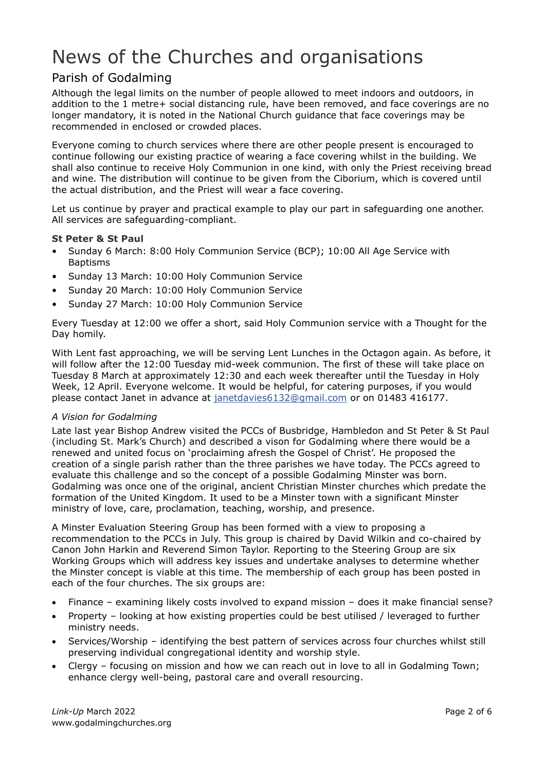# News of the Churches and organisations

## Parish of Godalming

Although the legal limits on the number of people allowed to meet indoors and outdoors, in addition to the 1 metre+ social distancing rule, have been removed, and face coverings are no longer mandatory, it is noted in the National Church guidance that face coverings may be recommended in enclosed or crowded places.

Everyone coming to church services where there are other people present is encouraged to continue following our existing practice of wearing a face covering whilst in the building. We shall also continue to receive Holy Communion in one kind, with only the Priest receiving bread and wine. The distribution will continue to be given from the Ciborium, which is covered until the actual distribution, and the Priest will wear a face covering.

Let us continue by prayer and practical example to play our part in safeguarding one another. All services are safeguarding-compliant.

#### **St Peter & St Paul**

- Sunday 6 March: 8:00 Holy Communion Service (BCP); 10:00 All Age Service with Baptisms
- Sunday 13 March: 10:00 Holy Communion Service
- Sunday 20 March: 10:00 Holy Communion Service
- Sunday 27 March: 10:00 Holy Communion Service

Every Tuesday at 12:00 we offer a short, said Holy Communion service with a Thought for the Day homily.

With Lent fast approaching, we will be serving Lent Lunches in the Octagon again. As before, it will follow after the 12:00 Tuesday mid-week communion. The first of these will take place on Tuesday 8 March at approximately 12:30 and each week thereafter until the Tuesday in Holy Week, 12 April. Everyone welcome. It would be helpful, for catering purposes, if you would please contact Janet in advance at [janetdavies6132@gmail.com](mailto:janetdavies6132@gmail.com) or on 01483 416177.

#### *A Vision for Godalming*

Late last year Bishop Andrew visited the PCCs of Busbridge, Hambledon and St Peter & St Paul (including St. Mark's Church) and described a vison for Godalming where there would be a renewed and united focus on 'proclaiming afresh the Gospel of Christ'. He proposed the creation of a single parish rather than the three parishes we have today. The PCCs agreed to evaluate this challenge and so the concept of a possible Godalming Minster was born. Godalming was once one of the original, ancient Christian Minster churches which predate the formation of the United Kingdom. It used to be a Minster town with a significant Minster ministry of love, care, proclamation, teaching, worship, and presence.

A Minster Evaluation Steering Group has been formed with a view to proposing a recommendation to the PCCs in July. This group is chaired by David Wilkin and co-chaired by Canon John Harkin and Reverend Simon Taylor. Reporting to the Steering Group are six Working Groups which will address key issues and undertake analyses to determine whether the Minster concept is viable at this time. The membership of each group has been posted in each of the four churches. The six groups are:

- Finance examining likely costs involved to expand mission does it make financial sense?
- Property looking at how existing properties could be best utilised / leveraged to further ministry needs.
- Services/Worship identifying the best pattern of services across four churches whilst still preserving individual congregational identity and worship style.
- Clergy focusing on mission and how we can reach out in love to all in Godalming Town; enhance clergy well-being, pastoral care and overall resourcing.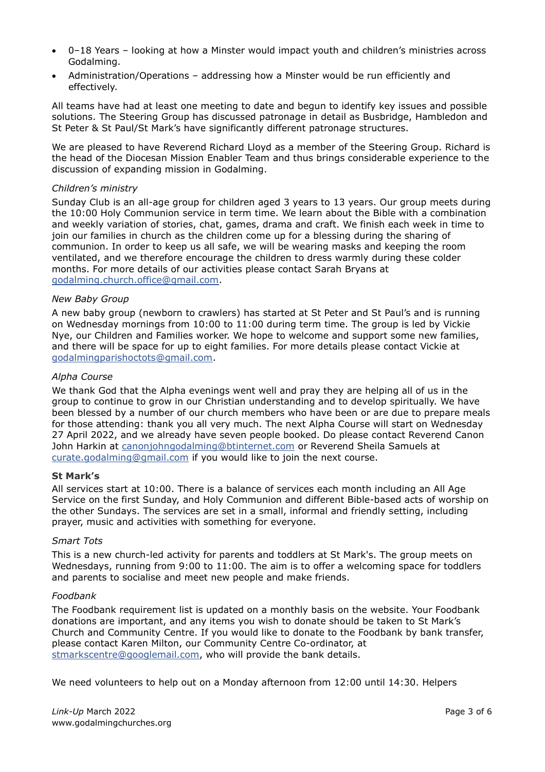- 0–18 Years looking at how a Minster would impact youth and children's ministries across Godalming.
- Administration/Operations addressing how a Minster would be run efficiently and effectively.

All teams have had at least one meeting to date and begun to identify key issues and possible solutions. The Steering Group has discussed patronage in detail as Busbridge, Hambledon and St Peter & St Paul/St Mark's have significantly different patronage structures.

We are pleased to have Reverend Richard Lloyd as a member of the Steering Group. Richard is the head of the Diocesan Mission Enabler Team and thus brings considerable experience to the discussion of expanding mission in Godalming.

#### *Children's ministry*

Sunday Club is an all-age group for children aged 3 years to 13 years. Our group meets during the 10:00 Holy Communion service in term time. We learn about the Bible with a combination and weekly variation of stories, chat, games, drama and craft. We finish each week in time to join our families in church as the children come up for a blessing during the sharing of communion. In order to keep us all safe, we will be wearing masks and keeping the room ventilated, and we therefore encourage the children to dress warmly during these colder months. For more details of our activities please contact Sarah Bryans at [godalming.church.office@gmail.com.](mailto:godalming.church.office@gmail.com)

#### *New Baby Group*

A new baby group (newborn to crawlers) has started at St Peter and St Paul's and is running on Wednesday mornings from 10:00 to 11:00 during term time. The group is led by Vickie Nye, our Children and Families worker. We hope to welcome and support some new families, and there will be space for up to eight families. For more details please contact Vickie at [godalmingparishoctots@gmail.com.](mailto:godalmingparishoctots@gmail.com)

#### *Alpha Course*

We thank God that the Alpha evenings went well and pray they are helping all of us in the group to continue to grow in our Christian understanding and to develop spiritually. We have been blessed by a number of our church members who have been or are due to prepare meals for those attending: thank you all very much. The next Alpha Course will start on Wednesday 27 April 2022, and we already have seven people booked. Do please contact Reverend Canon John Harkin at [canonjohngodalming@btinternet.com](mailto:canonjohngodalming@btinternet.com) or Reverend Sheila Samuels at [curate.godalming@gmail.com](mailto:curate.godalming@gmail.com) if you would like to join the next course.

#### **St Mark's**

All services start at 10:00. There is a balance of services each month including an All Age Service on the first Sunday, and Holy Communion and different Bible-based acts of worship on the other Sundays. The services are set in a small, informal and friendly setting, including prayer, music and activities with something for everyone.

#### *Smart Tots*

This is a new church-led activity for parents and toddlers at St Mark's. The group meets on Wednesdays, running from 9:00 to 11:00. The aim is to offer a welcoming space for toddlers and parents to socialise and meet new people and make friends.

#### *Foodbank*

The Foodbank requirement list is updated on a monthly basis on the website. Your Foodbank donations are important, and any items you wish to donate should be taken to St Mark's Church and Community Centre. If you would like to donate to the Foodbank by bank transfer, please contact Karen Milton, our Community Centre Co-ordinator, at [stmarkscentre@googlemail.com,](mailto:stmarkscentre@googlemail.com) who will provide the bank details.

We need volunteers to help out on a Monday afternoon from 12:00 until 14:30. Helpers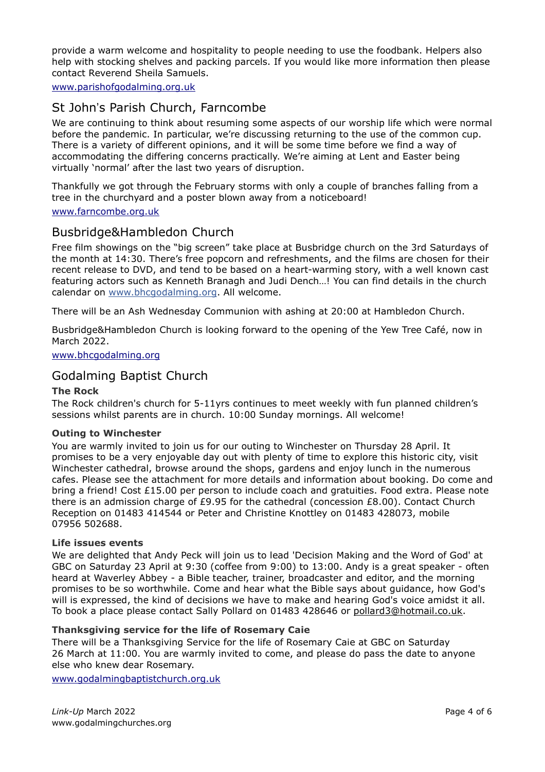provide a warm welcome and hospitality to people needing to use the foodbank. Helpers also help with stocking shelves and packing parcels. If you would like more information then please contact Reverend Sheila Samuels.

[www.parishofgodalming.org.uk](http://www.parishofgodalming.org.uk/)

## St John's Parish Church, Farncombe

We are continuing to think about resuming some aspects of our worship life which were normal before the pandemic. In particular, we're discussing returning to the use of the common cup. There is a variety of different opinions, and it will be some time before we find a way of accommodating the differing concerns practically. We're aiming at Lent and Easter being virtually 'normal' after the last two years of disruption.

Thankfully we got through the February storms with only a couple of branches falling from a tree in the churchyard and a poster blown away from a noticeboard!

#### [www.farncombe.org.uk](http://www.farncombe.org.uk/)

## Busbridge&Hambledon Church

Free film showings on the "big screen" take place at Busbridge church on the 3rd Saturdays of the month at 14:30. There's free popcorn and refreshments, and the films are chosen for their recent release to DVD, and tend to be based on a heart-warming story, with a well known cast featuring actors such as Kenneth Branagh and Judi Dench…! You can find details in the church calendar on [www.bhcgodalming.org.](http://www.bhcgodalming.org/) All welcome.

There will be an Ash Wednesday Communion with ashing at 20:00 at Hambledon Church.

Busbridge&Hambledon Church is looking forward to the opening of the Yew Tree Café, now in March 2022.

[www.bhcgodalming.org](http://www.bhcgodalming.org/)

## Godalming Baptist Church

#### **The Rock**

The Rock children's church for 5-11yrs continues to meet weekly with fun planned children's sessions whilst parents are in church. 10:00 Sunday mornings. All welcome!

#### **Outing to Winchester**

You are warmly invited to join us for our outing to Winchester on Thursday 28 April. It promises to be a very enjoyable day out with plenty of time to explore this historic city, visit Winchester cathedral, browse around the shops, gardens and enjoy lunch in the numerous cafes. Please see the attachment for more details and information about booking. Do come and bring a friend! Cost £15.00 per person to include coach and gratuities. Food extra. Please note there is an admission charge of £9.95 for the cathedral (concession £8.00). Contact Church Reception on 01483 414544 or Peter and Christine Knottley on 01483 428073, mobile 07956 502688.

#### **Life issues events**

We are delighted that Andy Peck will join us to lead 'Decision Making and the Word of God' at GBC on Saturday 23 April at 9:30 (coffee from 9:00) to 13:00. Andy is a great speaker - often heard at Waverley Abbey - a Bible teacher, trainer, broadcaster and editor, and the morning promises to be so worthwhile. Come and hear what the Bible says about guidance, how God's will is expressed, the kind of decisions we have to make and hearing God's voice amidst it all. To book a place please contact Sally Pollard on 01483 428646 or [pollard3@hotmail.co.uk.](mailto:pollard3@hotmail.co.uk)

#### **Thanksgiving service for the life of Rosemary Caie**

There will be a Thanksgiving Service for the life of Rosemary Caie at GBC on Saturday 26 March at 11:00. You are warmly invited to come, and please do pass the date to anyone else who knew dear Rosemary.

[www.godalmingbaptistchurch.org.uk](http://www.godalmingbaptistchurch.org.uk/)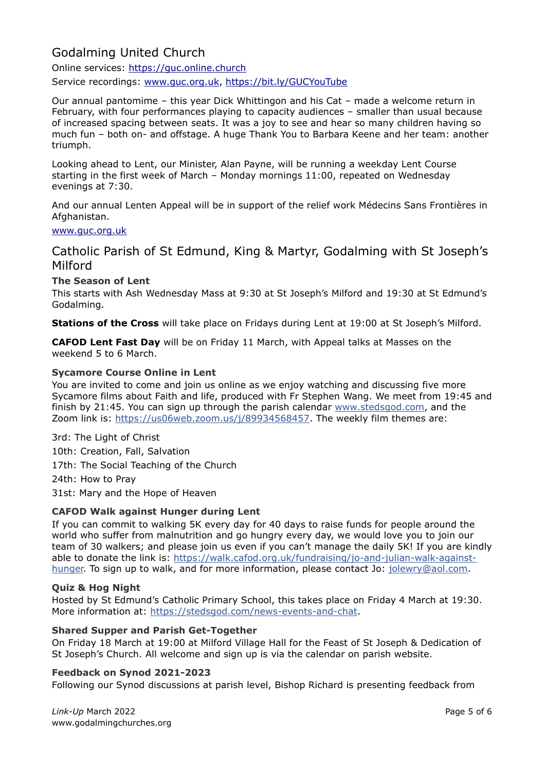# Godalming United Church

Online services: [https://guc.online.church](https://guc.online.church/) Service recordings: [www.guc.org.uk,](http://www.guc.org.uk/) <https://bit.ly/GUCYouTube>

Our annual pantomime – this year Dick Whittingon and his Cat – made a welcome return in February, with four performances playing to capacity audiences – smaller than usual because of increased spacing between seats. It was a joy to see and hear so many children having so much fun – both on- and offstage. A huge Thank You to Barbara Keene and her team: another triumph.

Looking ahead to Lent, our Minister, Alan Payne, will be running a weekday Lent Course starting in the first week of March – Monday mornings 11:00, repeated on Wednesday evenings at 7:30.

And our annual Lenten Appeal will be in support of the relief work Médecins Sans Frontières in Afghanistan.

#### [www.guc.org.uk](http://www.guc.org.uk/)

Catholic Parish of St Edmund, King & Martyr, Godalming with St Joseph's Milford

#### **The Season of Lent**

This starts with Ash Wednesday Mass at 9:30 at St Joseph's Milford and 19:30 at St Edmund's Godalming.

**Stations of the Cross** will take place on Fridays during Lent at 19:00 at St Joseph's Milford.

**CAFOD Lent Fast Day** will be on Friday 11 March, with Appeal talks at Masses on the weekend 5 to 6 March.

#### **Sycamore Course Online in Lent**

You are invited to come and join us online as we enjoy watching and discussing five more Sycamore films about Faith and life, produced with Fr Stephen Wang. We meet from 19:45 and finish by 21:45. You can sign up through the parish calendar [www.stedsgod.com,](http://www.stedsgod.com/) and the Zoom link is: [https://us06web.zoom.us/j/89934568457.](https://us06web.zoom.us/j/89934568457) The weekly film themes are:

3rd: The Light of Christ

10th: Creation, Fall, Salvation

17th: The Social Teaching of the Church

24th: How to Pray

31st: Mary and the Hope of Heaven

#### **CAFOD Walk against Hunger during Lent**

If you can commit to walking 5K every day for 40 days to raise funds for people around the world who suffer from malnutrition and go hungry every day, we would love you to join our team of 30 walkers; and please join us even if you can't manage the daily 5K! If you are kindly able to donate the link is: [https://walk.cafod.org.uk/fundraising/jo-and-julian-walk-against](https://walk.cafod.org.uk/fundraising/jo-and-julian-walk-against-hunger)[hunger.](https://walk.cafod.org.uk/fundraising/jo-and-julian-walk-against-hunger) To sign up to walk, and for more information, please contact Jo: [jolewry@aol.com.](mailto:jolewry@aol.com)

#### **Quiz & Hog Night**

Hosted by St Edmund's Catholic Primary School, this takes place on Friday 4 March at 19:30. More information at: [https://stedsgod.com/news-events-and-chat.](https://stedsgod.com/news-events-and-chat)

#### **Shared Supper and Parish Get-Together**

On Friday 18 March at 19:00 at Milford Village Hall for the Feast of St Joseph & Dedication of St Joseph's Church. All welcome and sign up is via the calendar on parish website.

#### **Feedback on Synod 2021-2023**

Following our Synod discussions at parish level, Bishop Richard is presenting feedback from